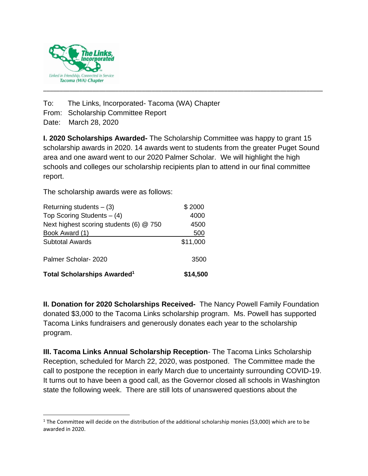

To: The Links, Incorporated- Tacoma (WA) Chapter From: Scholarship Committee Report

Date: March 28, 2020

**I. 2020 Scholarships Awarded-** The Scholarship Committee was happy to grant 15 scholarship awards in 2020. 14 awards went to students from the greater Puget Sound area and one award went to our 2020 Palmer Scholar. We will highlight the high schools and colleges our scholarship recipients plan to attend in our final committee report.

\_\_\_\_\_\_\_\_\_\_\_\_\_\_\_\_\_\_\_\_\_\_\_\_\_\_\_\_\_\_\_\_\_\_\_\_\_\_\_\_\_\_\_\_\_\_\_\_\_\_\_\_\_\_\_\_\_\_\_\_\_\_\_\_\_\_\_\_\_\_\_\_\_\_\_\_\_\_\_\_\_\_\_\_\_

The scholarship awards were as follows:

| <b>Total Scholarships Awarded<sup>1</sup></b> | \$14,500 |
|-----------------------------------------------|----------|
| Palmer Scholar-2020                           | 3500     |
| <b>Subtotal Awards</b>                        | \$11,000 |
| Book Award (1)                                | 500      |
| Next highest scoring students (6) @ 750       | 4500     |
| Top Scoring Students $-$ (4)                  | 4000     |
| Returning students $-$ (3)                    | \$2000   |

**II. Donation for 2020 Scholarships Received-** The Nancy Powell Family Foundation donated \$3,000 to the Tacoma Links scholarship program. Ms. Powell has supported Tacoma Links fundraisers and generously donates each year to the scholarship program.

**III. Tacoma Links Annual Scholarship Reception**- The Tacoma Links Scholarship Reception, scheduled for March 22, 2020, was postponed. The Committee made the call to postpone the reception in early March due to uncertainty surrounding COVID-19. It turns out to have been a good call, as the Governor closed all schools in Washington state the following week. There are still lots of unanswered questions about the

<sup>&</sup>lt;sup>1</sup> The Committee will decide on the distribution of the additional scholarship monies (\$3,000) which are to be awarded in 2020.